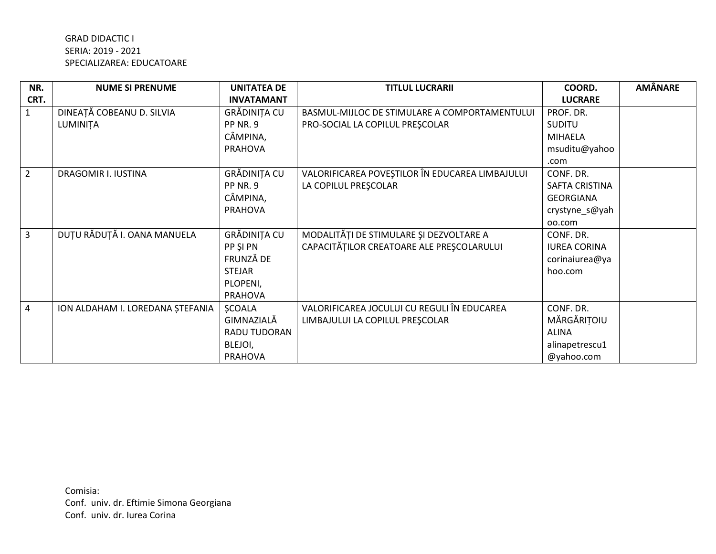## **GRAD DIDACTIC I** SERIA: 2019 - 2021 SPECIALIZAREA: EDUCATOARE

| NR.            | <b>NUME SI PRENUME</b>           | <b>UNITATEA DE</b> | <b>TITLUL LUCRARII</b>                          | COORD.                | <b>AMÂNARE</b> |
|----------------|----------------------------------|--------------------|-------------------------------------------------|-----------------------|----------------|
| CRT.           |                                  | <b>INVATAMANT</b>  |                                                 | <b>LUCRARE</b>        |                |
| $\mathbf{1}$   | DINEAȚĂ COBEANU D. SILVIA        | GRĂDINIȚA CU       | BASMUL-MIJLOC DE STIMULARE A COMPORTAMENTULUI   | PROF. DR.             |                |
|                | LUMINIȚA                         | PP NR. 9           | PRO-SOCIAL LA COPILUL PREȘCOLAR                 | <b>SUDITU</b>         |                |
|                |                                  | CÂMPINA,           |                                                 | <b>MIHAELA</b>        |                |
|                |                                  | <b>PRAHOVA</b>     |                                                 | msuditu@yahoo         |                |
|                |                                  |                    |                                                 | .com                  |                |
| $\overline{2}$ | DRAGOMIR I. IUSTINA              | GRĂDINIȚA CU       | VALORIFICAREA POVEȘTILOR ÎN EDUCAREA LIMBAJULUI | CONF. DR.             |                |
|                |                                  | <b>PP NR. 9</b>    | LA COPILUL PRESCOLAR                            | <b>SAFTA CRISTINA</b> |                |
|                |                                  | CÂMPINA,           |                                                 | <b>GEORGIANA</b>      |                |
|                |                                  | <b>PRAHOVA</b>     |                                                 | crystyne_s@yah        |                |
|                |                                  |                    |                                                 | oo.com                |                |
| $\overline{3}$ | DUȚU RĂDUȚĂ I. OANA MANUELA      | GRĂDINIȚA CU       | MODALITĂȚI DE STIMULARE ȘI DEZVOLTARE A         | CONF. DR.             |                |
|                |                                  | PP SI PN           | CAPACITĂȚILOR CREATOARE ALE PREȘCOLARULUI       | <b>IUREA CORINA</b>   |                |
|                |                                  | FRUNZĂ DE          |                                                 | corinaiurea@ya        |                |
|                |                                  | <b>STEJAR</b>      |                                                 | hoo.com               |                |
|                |                                  | PLOPENI,           |                                                 |                       |                |
|                |                                  | <b>PRAHOVA</b>     |                                                 |                       |                |
| $\overline{4}$ | ION ALDAHAM I. LOREDANA ȘTEFANIA | <b>ŞCOALA</b>      | VALORIFICAREA JOCULUI CU REGULI ÎN EDUCAREA     | CONF. DR.             |                |
|                |                                  | GIMNAZIALĂ         | LIMBAJULUI LA COPILUL PREȘCOLAR                 | MĂRGĂRIȚOIU           |                |
|                |                                  | RADU TUDORAN       |                                                 | <b>ALINA</b>          |                |
|                |                                  | BLEJOI,            |                                                 | alinapetrescu1        |                |
|                |                                  | <b>PRAHOVA</b>     |                                                 | @yahoo.com            |                |